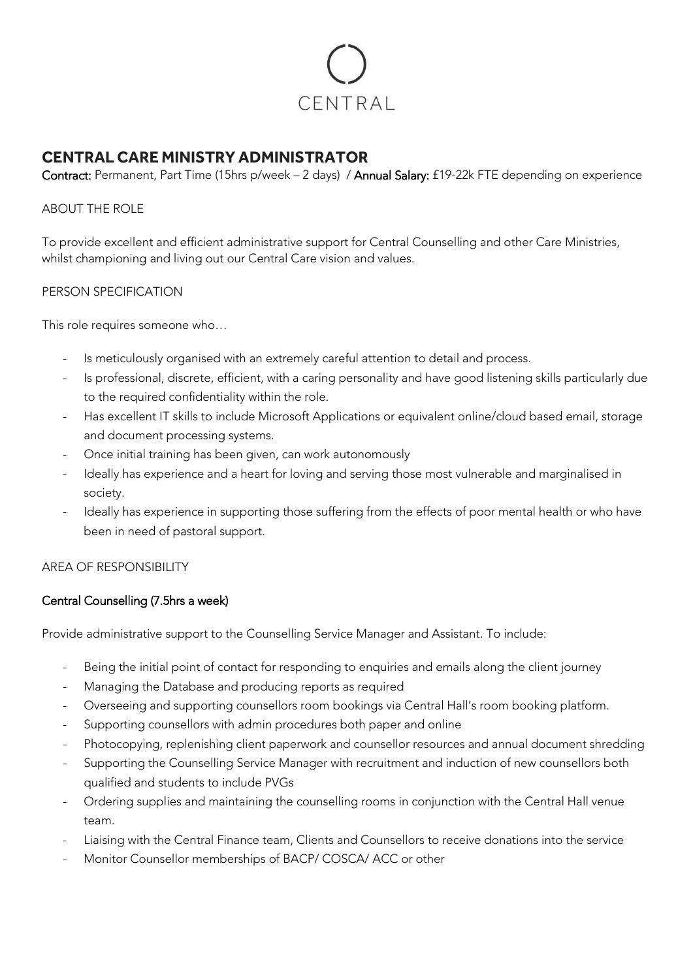

# **CENTRAL CARE MINISTRY ADMINISTRATOR**

Contract: Permanent, Part Time (15hrs p/week – 2 days) / Annual Salary: £19-22k FTE depending on experience

### ABOUT THE ROLE

To provide excellent and efficient administrative support for Central Counselling and other Care Ministries, whilst championing and living out our Central Care vision and values.

### PERSON SPECIFICATION

This role requires someone who…

- Is meticulously organised with an extremely careful attention to detail and process.
- Is professional, discrete, efficient, with a caring personality and have good listening skills particularly due to the required confidentiality within the role.
- Has excellent IT skills to include Microsoft Applications or equivalent online/cloud based email, storage and document processing systems.
- Once initial training has been given, can work autonomously
- Ideally has experience and a heart for loving and serving those most vulnerable and marginalised in society.
- Ideally has experience in supporting those suffering from the effects of poor mental health or who have been in need of pastoral support.

# AREA OF RESPONSIBILITY

# Central Counselling (7.5hrs a week)

Provide administrative support to the Counselling Service Manager and Assistant. To include:

- Being the initial point of contact for responding to enquiries and emails along the client journey
- Managing the Database and producing reports as required
- Overseeing and supporting counsellors room bookings via Central Hall's room booking platform.
- Supporting counsellors with admin procedures both paper and online
- Photocopying, replenishing client paperwork and counsellor resources and annual document shredding
- Supporting the Counselling Service Manager with recruitment and induction of new counsellors both qualified and students to include PVGs
- Ordering supplies and maintaining the counselling rooms in conjunction with the Central Hall venue team.
- Liaising with the Central Finance team, Clients and Counsellors to receive donations into the service
- Monitor Counsellor memberships of BACP/ COSCA/ ACC or other